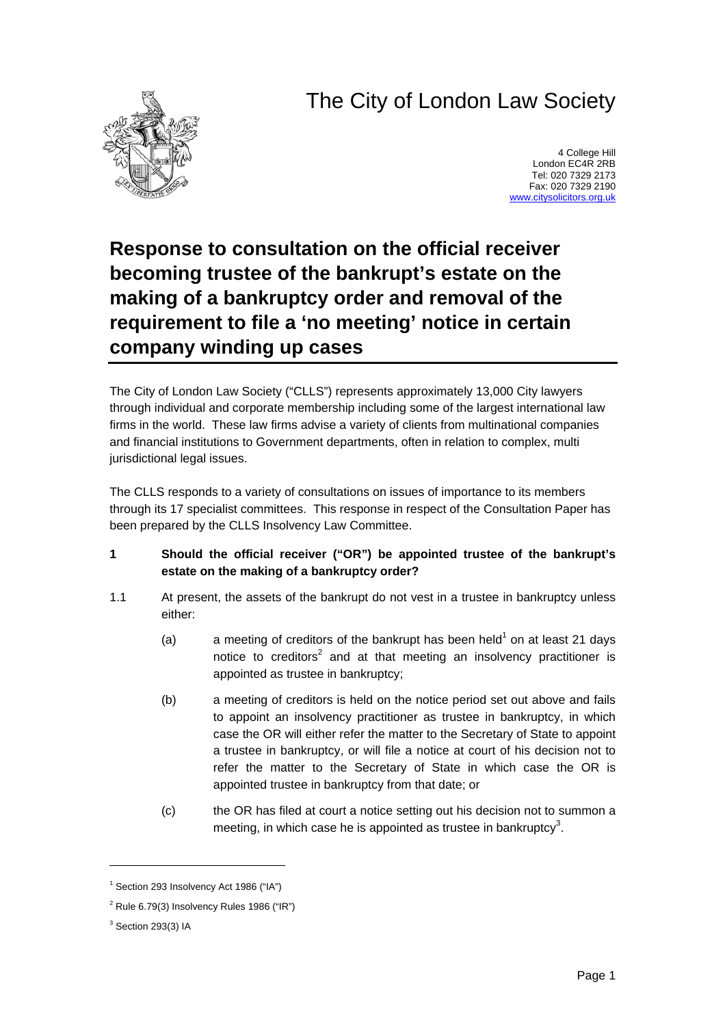## The City of London Law Society



4 College Hill London EC4R 2RB Tel: 020 7329 2173 Fax: 020 7329 2190 [www.citysolicitors.org.uk](http://www.citysolicitors.org.uk/)

## **Response to consultation on the official receiver becoming trustee of the bankrupt's estate on the making of a bankruptcy order and removal of the requirement to file a 'no meeting' notice in certain company winding up cases**

The City of London Law Society ("CLLS") represents approximately 13,000 City lawyers through individual and corporate membership including some of the largest international law firms in the world. These law firms advise a variety of clients from multinational companies and financial institutions to Government departments, often in relation to complex, multi jurisdictional legal issues.

The CLLS responds to a variety of consultations on issues of importance to its members through its 17 specialist committees. This response in respect of the Consultation Paper has been prepared by the CLLS Insolvency Law Committee.

- **1 Should the official receiver ("OR") be appointed trustee of the bankrupt's estate on the making of a bankruptcy order?**
- 1.1 At present, the assets of the bankrupt do not vest in a trustee in bankruptcy unless either:
	- (a) a meeting of creditors of the bankrupt has been held<sup>[1](#page-0-0)</sup> on at least 21 days notice to creditor[s](#page-0-1)<sup>2</sup> and at that meeting an insolvency practitioner is appointed as trustee in bankruptcy;
	- (b) a meeting of creditors is held on the notice period set out above and fails to appoint an insolvency practitioner as trustee in bankruptcy, in which case the OR will either refer the matter to the Secretary of State to appoint a trustee in bankruptcy, or will file a notice at court of his decision not to refer the matter to the Secretary of State in which case the OR is appointed trustee in bankruptcy from that date; or
	- (c) the OR has filed at court a notice setting out his decision not to summon a meeting, in which case he is appointed as trustee in bankruptcy<sup>3</sup>[.](#page-0-2)

 $\overline{a}$ 

<span id="page-0-0"></span><sup>&</sup>lt;sup>1</sup> Section 293 Insolvency Act 1986 ("IA")

<span id="page-0-1"></span> $2$  Rule 6.79(3) Insolvency Rules 1986 ("IR")

<span id="page-0-2"></span> $3$  Section 293(3) IA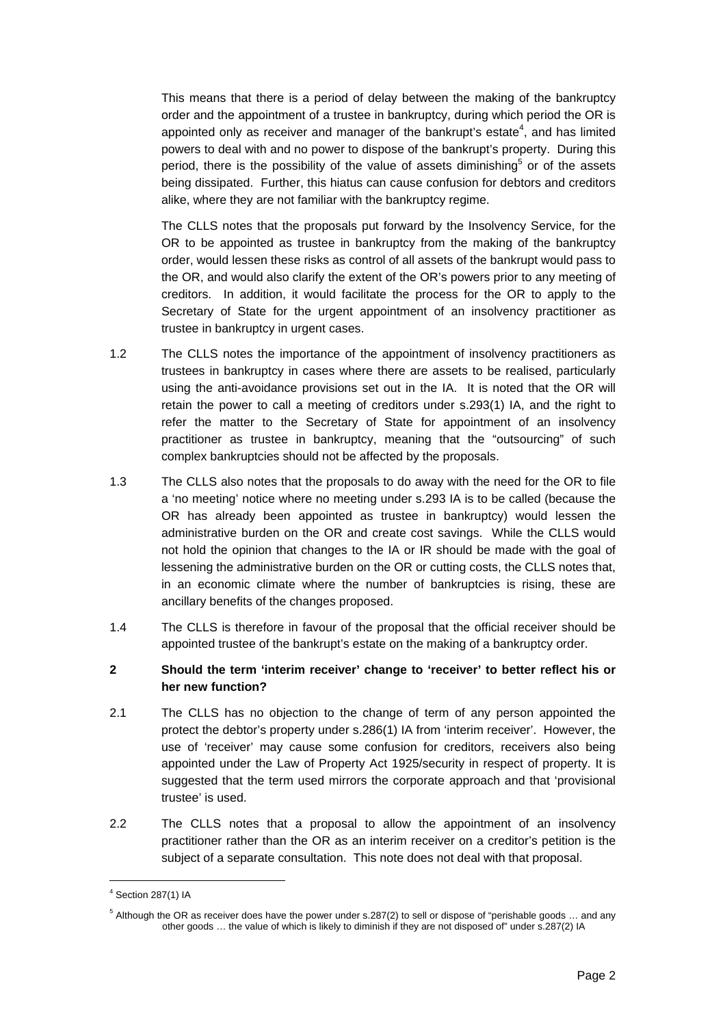This means that there is a period of delay between the making of the bankruptcy order and the appointment of a trustee in bankruptcy, during which period the OR is appointed only as receiver and manager of the bankrupt's estate<sup>4</sup>[,](#page-1-0) and has limited powers to deal with and no power to dispose of the bankrupt's property. During this period,there is the possibility of the value of assets diminishing<sup>5</sup> or of the assets being dissipated. Further, this hiatus can cause confusion for debtors and creditors alike, where they are not familiar with the bankruptcy regime.

The CLLS notes that the proposals put forward by the Insolvency Service, for the OR to be appointed as trustee in bankruptcy from the making of the bankruptcy order, would lessen these risks as control of all assets of the bankrupt would pass to the OR, and would also clarify the extent of the OR's powers prior to any meeting of creditors. In addition, it would facilitate the process for the OR to apply to the Secretary of State for the urgent appointment of an insolvency practitioner as trustee in bankruptcy in urgent cases.

- 1.2 The CLLS notes the importance of the appointment of insolvency practitioners as trustees in bankruptcy in cases where there are assets to be realised, particularly using the anti-avoidance provisions set out in the IA. It is noted that the OR will retain the power to call a meeting of creditors under s.293(1) IA, and the right to refer the matter to the Secretary of State for appointment of an insolvency practitioner as trustee in bankruptcy, meaning that the "outsourcing" of such complex bankruptcies should not be affected by the proposals.
- 1.3 The CLLS also notes that the proposals to do away with the need for the OR to file a 'no meeting' notice where no meeting under s.293 IA is to be called (because the OR has already been appointed as trustee in bankruptcy) would lessen the administrative burden on the OR and create cost savings. While the CLLS would not hold the opinion that changes to the IA or IR should be made with the goal of lessening the administrative burden on the OR or cutting costs, the CLLS notes that, in an economic climate where the number of bankruptcies is rising, these are ancillary benefits of the changes proposed.
- 1.4 The CLLS is therefore in favour of the proposal that the official receiver should be appointed trustee of the bankrupt's estate on the making of a bankruptcy order.
- **2 Should the term 'interim receiver' change to 'receiver' to better reflect his or her new function?**
- 2.1 The CLLS has no objection to the change of term of any person appointed the protect the debtor's property under s.286(1) IA from 'interim receiver'. However, the use of 'receiver' may cause some confusion for creditors, receivers also being appointed under the Law of Property Act 1925/security in respect of property. It is suggested that the term used mirrors the corporate approach and that 'provisional trustee' is used.
- 2.2 The CLLS notes that a proposal to allow the appointment of an insolvency practitioner rather than the OR as an interim receiver on a creditor's petition is the subject of a separate consultation. This note does not deal with that proposal.

 $\frac{1}{4}$  $4$  Section 287(1) IA

<span id="page-1-1"></span><span id="page-1-0"></span> $^5$  Although the OR as receiver does have the power under s.287(2) to sell or dispose of "perishable goods … and any other goods … the value of which is likely to diminish if they are not disposed of" under s.287(2) IA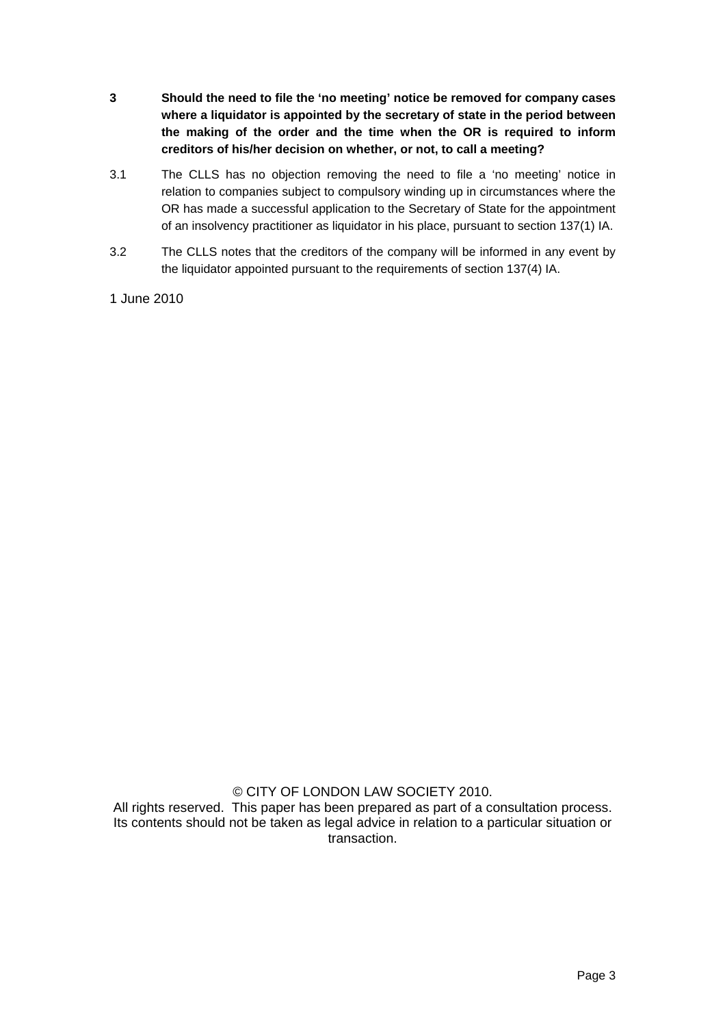- **3 Should the need to file the 'no meeting' notice be removed for company cases where a liquidator is appointed by the secretary of state in the period between the making of the order and the time when the OR is required to inform creditors of his/her decision on whether, or not, to call a meeting?**
- 3.1 The CLLS has no objection removing the need to file a 'no meeting' notice in relation to companies subject to compulsory winding up in circumstances where the OR has made a successful application to the Secretary of State for the appointment of an insolvency practitioner as liquidator in his place, pursuant to section 137(1) IA.
- 3.2 The CLLS notes that the creditors of the company will be informed in any event by the liquidator appointed pursuant to the requirements of section 137(4) IA.
- 1 June 2010

© CITY OF LONDON LAW SOCIETY 2010.

All rights reserved. This paper has been prepared as part of a consultation process. Its contents should not be taken as legal advice in relation to a particular situation or transaction.